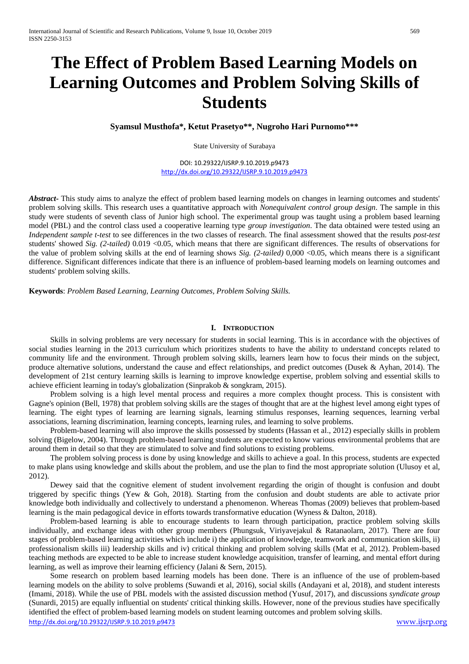# **The Effect of Problem Based Learning Models on Learning Outcomes and Problem Solving Skills of Students**

**Syamsul Musthofa\*, Ketut Prasetyo\*\*, Nugroho Hari Purnomo\*\*\***

State University of Surabaya

DOI: 10.29322/IJSRP.9.10.2019.p9473 <http://dx.doi.org/10.29322/IJSRP.9.10.2019.p9473>

*Abstract***-** This study aims to analyze the effect of problem based learning models on changes in learning outcomes and students' problem solving skills. This research uses a quantitative approach with *Nonequivalent control group design*. The sample in this study were students of seventh class of Junior high school. The experimental group was taught using a problem based learning model (PBL) and the control class used a cooperative learning type *group investigation*. The data obtained were tested using an *Independent sample t-test* to see differences in the two classes of research. The final assessment showed that the results *post-test*  students' showed *Sig. (2-tailed)* 0.019 <0.05, which means that there are significant differences. The results of observations for the value of problem solving skills at the end of learning shows *Sig. (2-tailed)* 0,000 <0.05, which means there is a significant difference. Significant differences indicate that there is an influence of problem-based learning models on learning outcomes and students' problem solving skills.

**Keywords**: *Problem Based Learning, Learning Outcomes, Problem Solving Skills.*

#### **I. INTRODUCTION**

Skills in solving problems are very necessary for students in social learning. This is in accordance with the objectives of social studies learning in the 2013 curriculum which prioritizes students to have the ability to understand concepts related to community life and the environment. Through problem solving skills, learners learn how to focus their minds on the subject, produce alternative solutions, understand the cause and effect relationships, and predict outcomes (Dusek & Ayhan, 2014). The development of 21st century learning skills is learning to improve knowledge expertise, problem solving and essential skills to achieve efficient learning in today's globalization (Sinprakob & songkram, 2015).

Problem solving is a high level mental process and requires a more complex thought process. This is consistent with Gagne's opinion (Bell, 1978) that problem solving skills are the stages of thought that are at the highest level among eight types of learning. The eight types of learning are learning signals, learning stimulus responses, learning sequences, learning verbal associations, learning discrimination, learning concepts, learning rules, and learning to solve problems.

Problem-based learning will also improve the skills possessed by students (Hassan et al., 2012) especially skills in problem solving (Bigelow, 2004). Through problem-based learning students are expected to know various environmental problems that are around them in detail so that they are stimulated to solve and find solutions to existing problems.

The problem solving process is done by using knowledge and skills to achieve a goal. In this process, students are expected to make plans using knowledge and skills about the problem, and use the plan to find the most appropriate solution (Ulusoy et al, 2012).

Dewey said that the cognitive element of student involvement regarding the origin of thought is confusion and doubt triggered by specific things (Yew & Goh, 2018). Starting from the confusion and doubt students are able to activate prior knowledge both individually and collectively to understand a phenomenon. Whereas Thomas (2009) believes that problem-based learning is the main pedagogical device in efforts towards transformative education (Wyness & Dalton, 2018).

Problem-based learning is able to encourage students to learn through participation, practice problem solving skills individually, and exchange ideas with other group members (Phungsuk, Viriyavejakul & Ratanaolarn, 2017). There are four stages of problem-based learning activities which include i) the application of knowledge, teamwork and communication skills, ii) professionalism skills iii) leadership skills and iv) critical thinking and problem solving skills (Mat et al, 2012). Problem-based teaching methods are expected to be able to increase student knowledge acquisition, transfer of learning, and mental effort during learning, as well as improve their learning efficiency (Jalani & Sern, 2015).

<http://dx.doi.org/10.29322/IJSRP.9.10.2019.p9473> [www.ijsrp.org](http://ijsrp.org/) Some research on problem based learning models has been done. There is an influence of the use of problem-based learning models on the ability to solve problems (Suwandi et al, 2016), social skills (Andayani et al, 2018), and student interests (Imami, 2018). While the use of PBL models with the assisted discussion method (Yusuf, 2017), and discussions *syndicate group*  (Sunardi, 2015) are equally influential on students' critical thinking skills. However, none of the previous studies have specifically identified the effect of problem-based learning models on student learning outcomes and problem solving skills.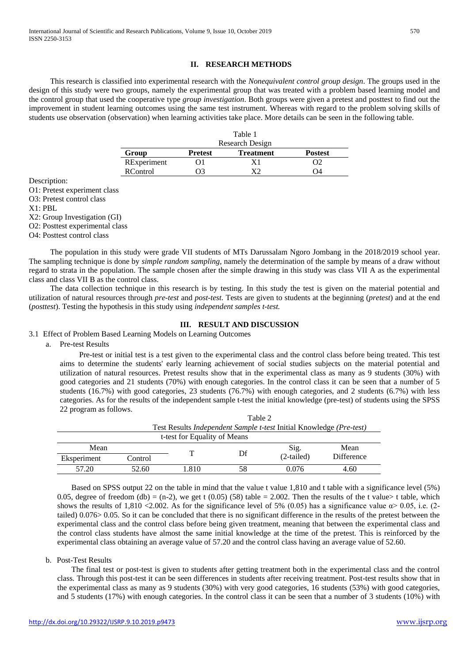### **II. RESEARCH METHODS**

This research is classified into experimental research with the *Nonequivalent control group design*. The groups used in the design of this study were two groups, namely the experimental group that was treated with a problem based learning model and the control group that used the cooperative type *group investigation*. Both groups were given a pretest and posttest to find out the improvement in student learning outcomes using the same test instrument. Whereas with regard to the problem solving skills of students use observation (observation) when learning activities take place. More details can be seen in the following table.

|                 |                | Table 1          |                |
|-----------------|----------------|------------------|----------------|
|                 |                | Research Design  |                |
| Group           | <b>Pretest</b> | <b>Treatment</b> | <b>Postest</b> |
| RExperiment     | ( ) I          | X1               | OŽ             |
| <b>RControl</b> | NЗ             | vo               | Ω4             |

Description:

O1: Pretest experiment class

O3: Pretest control class

X1: PBL

X2: Group Investigation (GI)

O2: Posttest experimental class

O4: Posttest control class

The population in this study were grade VII students of MTs Darussalam Ngoro Jombang in the 2018/2019 school year. The sampling technique is done by *simple random sampling,* namely the determination of the sample by means of a draw without regard to strata in the population. The sample chosen after the simple drawing in this study was class VII A as the experimental class and class VII B as the control class.

The data collection technique in this research is by testing. In this study the test is given on the material potential and utilization of natural resources through *pre-test* and *post-test*. Tests are given to students at the beginning (*pretest*) and at the end (*posttest*). Testing the hypothesis in this study using *independent samples t-test.*

### **III. RESULT AND DISCUSSION**

3.1 Effect of Problem Based Learning Models on Learning Outcomes

a. Pre-test Results

Pre-test or initial test is a test given to the experimental class and the control class before being treated. This test aims to determine the students' early learning achievement of social studies subjects on the material potential and utilization of natural resources. Pretest results show that in the experimental class as many as 9 students (30%) with good categories and 21 students (70%) with enough categories. In the control class it can be seen that a number of 5 students (16.7%) with good categories, 23 students (76.7%) with enough categories, and 2 students (6.7%) with less categories. As for the results of the independent sample t-test the initial knowledge (pre-test) of students using the SPSS 22 program as follows.

|                              |         | Table 2                                                                             |    |              |                   |  |
|------------------------------|---------|-------------------------------------------------------------------------------------|----|--------------|-------------------|--|
|                              |         | Test Results <i>Independent Sample t-test</i> Initial Knowledge ( <i>Pre-test</i> ) |    |              |                   |  |
| t-test for Equality of Means |         |                                                                                     |    |              |                   |  |
| Mean                         |         |                                                                                     |    | Sig.         | Mean              |  |
| Eksperiment                  | Control |                                                                                     | Df | $(2-tailed)$ | <b>Difference</b> |  |
| 57.20                        | 52.60   | 1.810                                                                               |    | 0.076        | 4.60              |  |

Based on SPSS output 22 on the table in mind that the value t value 1,810 and t table with a significance level (5%) 0.05, degree of freedom (db) = (n-2), we get t (0.05) (58) table = 2.002. Then the results of the t value> t table, which shows the results of 1,810 <2.002. As for the significance level of 5% (0.05) has a significance value  $\alpha$  > 0.05, i.e. (2tailed) 0.076> 0.05. So it can be concluded that there is no significant difference in the results of the pretest between the experimental class and the control class before being given treatment, meaning that between the experimental class and the control class students have almost the same initial knowledge at the time of the pretest. This is reinforced by the experimental class obtaining an average value of 57.20 and the control class having an average value of 52.60.

#### b. Post-Test Results

The final test or post-test is given to students after getting treatment both in the experimental class and the control class. Through this post-test it can be seen differences in students after receiving treatment. Post-test results show that in the experimental class as many as 9 students (30%) with very good categories, 16 students (53%) with good categories, and 5 students (17%) with enough categories. In the control class it can be seen that a number of 3 students (10%) with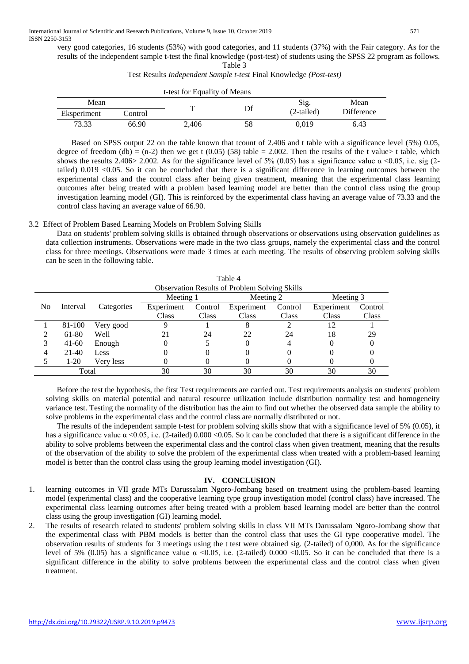very good categories, 16 students (53%) with good categories, and 11 students (37%) with the Fair category. As for the results of the independent sample t-test the final knowledge (post-test) of students using the SPSS 22 program as follows. Table 3

| t-test for Equality of Means |         |       |  |              |            |  |
|------------------------------|---------|-------|--|--------------|------------|--|
| Mean                         |         | ᠇᠇    |  | Sig.         | Mean       |  |
| Eksperiment                  | Control |       |  | $(2-tailed)$ | Difference |  |
| 73.33                        | 66.90   | 2,406 |  | 0.019        | 6.43       |  |

Test Results *Independent Sample t-test* Final Knowledge *(Post-test)*

Based on SPSS output 22 on the table known that tcount of 2.406 and t table with a significance level (5%) 0.05, degree of freedom (db) = (n-2) then we get t (0.05) (58) table = 2.002. Then the results of the t value> t table, which shows the results 2.406> 2.002. As for the significance level of 5% (0.05) has a significance value  $\alpha$  <0.05, i.e. sig (2tailed) 0.019 <0.05. So it can be concluded that there is a significant difference in learning outcomes between the experimental class and the control class after being given treatment, meaning that the experimental class learning outcomes after being treated with a problem based learning model are better than the control class using the group investigation learning model (GI). This is reinforced by the experimental class having an average value of 73.33 and the control class having an average value of 66.90.

## 3.2 Effect of Problem Based Learning Models on Problem Solving Skills

Data on students' problem solving skills is obtained through observations or observations using observation guidelines as data collection instruments. Observations were made in the two class groups, namely the experimental class and the control class for three meetings. Observations were made 3 times at each meeting. The results of observing problem solving skills can be seen in the following table.

 $\overline{a}$ 

|       | l'able 4                                             |            |            |         |            |         |            |         |
|-------|------------------------------------------------------|------------|------------|---------|------------|---------|------------|---------|
|       | <b>Observation Results of Problem Solving Skills</b> |            |            |         |            |         |            |         |
|       |                                                      |            | Meeting 1  |         | Meeting 2  |         | Meeting 3  |         |
| No    | Interval                                             | Categories | Experiment | Control | Experiment | Control | Experiment | Control |
|       |                                                      |            | Class      | Class   | Class      | Class   | Class      | Class   |
|       | 81-100                                               | Very good  |            |         |            |         | 12         |         |
|       | 61-80                                                | Well       |            | 24      | 22         | 24      | 18         | 29      |
| 3     | $41 - 60$                                            | Enough     |            |         |            |         |            |         |
| 4     | $21-40$                                              | Less       |            |         |            | 0       |            |         |
|       | $1-20$                                               | Very less  |            |         |            |         |            |         |
| Total |                                                      | 30         | 30         | 30      | 30         | 30      | 30         |         |

Before the test the hypothesis, the first Test requirements are carried out. Test requirements analysis on students' problem solving skills on material potential and natural resource utilization include distribution normality test and homogeneity variance test. Testing the normality of the distribution has the aim to find out whether the observed data sample the ability to solve problems in the experimental class and the control class are normally distributed or not.

The results of the independent sample t-test for problem solving skills show that with a significance level of 5% (0.05), it has a significance value  $\alpha$  <0.05, i.e. (2-tailed) 0.000 <0.05. So it can be concluded that there is a significant difference in the ability to solve problems between the experimental class and the control class when given treatment, meaning that the results of the observation of the ability to solve the problem of the experimental class when treated with a problem-based learning model is better than the control class using the group learning model investigation (GI).

## **IV. CONCLUSION**

- 1. learning outcomes in VII grade MTs Darussalam Ngoro-Jombang based on treatment using the problem-based learning model (experimental class) and the cooperative learning type group investigation model (control class) have increased. The experimental class learning outcomes after being treated with a problem based learning model are better than the control class using the group investigation (GI) learning model.
- 2. The results of research related to students' problem solving skills in class VII MTs Darussalam Ngoro-Jombang show that the experimental class with PBM models is better than the control class that uses the GI type cooperative model. The observation results of students for 3 meetings using the t test were obtained sig. (2-tailed) of 0,000. As for the significance level of 5% (0.05) has a significance value  $\alpha$  <0.05, i.e. (2-tailed) 0.000 <0.05. So it can be concluded that there is a significant difference in the ability to solve problems between the experimental class and the control class when given treatment.